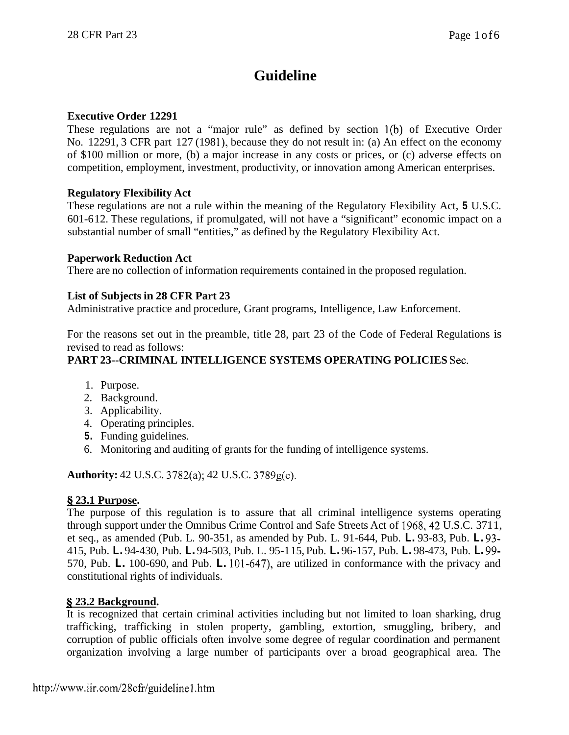# **Guideline**

#### **Executive Order 12291**

These regulations are not a "major rule" as defined by section l(b) of Executive Order No. 12291, 3 CFR part 127 (1981), because they do not result in: (a) An effect on the economy of \$100 million or more, (b) a major increase in any costs or prices, or (c) adverse effects on competition, employment, investment, productivity, or innovation among American enterprises.

#### **Regulatory Flexibility Act**

These regulations are not a rule within the meaning of the Regulatory Flexibility Act, **5** U.S.C. 601 -6 12. These regulations, if promulgated, will not have a "significant" economic impact on a substantial number of small "entities," as defined by the Regulatory Flexibility Act.

#### **Paperwork Reduction Act**

There are no collection of information requirements contained in the proposed regulation.

#### **List of Subjects in 28 CFR Part 23**

Administrative practice and procedure, Grant programs, Intelligence, Law Enforcement.

For the reasons set out in the preamble, title 28, part 23 of the Code of Federal Regulations is revised to read as follows:

#### **PART 23--CRIMINAL INTELLIGENCE SYSTEMS OPERATING POLICIES** Sec.

- 1. Purpose.
- 2. Background.
- 3. Applicability.
- 4. Operating principles.
- **5.** Funding guidelines.
- 6. Monitoring and auditing of grants for the funding of intelligence systems.

**Authority:** 42 U.S.C. 3782(a); 42 U.S.C. 3789g(c).

## **3 23.1 Purpose.**

The purpose of this regulation is to assure that all criminal intelligence systems operating through support under the Omnibus Crime Control and Safe Streets Act of 1968,42 U.S.C. 371 1, et seq., as amended (Pub. L. 90-351, as amended by Pub. L. 91-644, Pub. **L.** 93-83, Pub. **L.** 93- 570, Pub. **L.** 100-690, and Pub. **L.** 101-647), are utilized in conformance with the privacy and constitutional rights of individuals. 415, Pub. **L.** 94-430, Pub. **L.** 94-503, Pub. L. 95-1 15, Pub. **L.** 96-157, Pub. **L.** 98-473, Pub. **L.** 99-

## *5* **23.2 Background.**

It is recognized that certain criminal activities including but not limited to loan sharking, drug trafficking, trafficking in stolen property, gambling, extortion, smuggling, bribery, and corruption of public officials often involve some degree of regular coordination and permanent organization involving a large number of participants over a broad geographical area. The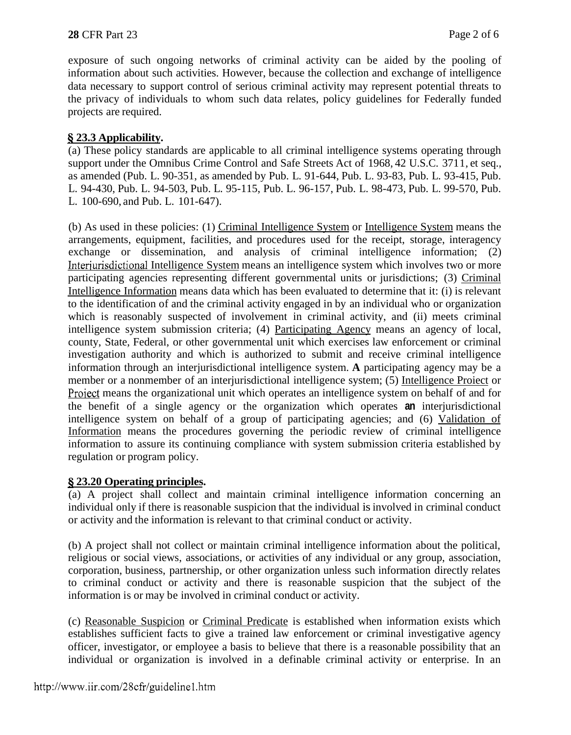exposure of such ongoing networks of criminal activity can be aided by the pooling of information about such activities. However, because the collection and exchange of intelligence data necessary to support control of serious criminal activity may represent potential threats to the privacy of individuals to whom such data relates, policy guidelines for Federally funded projects are required.

## **4 23.3 Applicability.**

(a) These policy standards are applicable to all criminal intelligence systems operating through support under the Omnibus Crime Control and Safe Streets Act of 1968, 42 U.S.C. 3711, et seq., as amended (Pub. L. 90-351, as amended by Pub. L. 91-644, Pub. L. 93-83, Pub. L. 93-415, Pub. L. 100-690, and Pub. L. 101-647). L. 94-430, Pub. L. 94-503, Pub. L. 95-115, Pub. L. 96-157, Pub. L. 98-473, Pub. L. 99-570, Pub.

(b) As used in these policies: (1) Criminal Intelligence System or Intelligence System means the arrangements, equipment, facilities, and procedures used for the receipt, storage, interagency exchange or dissemination, and analysis of criminal intelligence information; (2) Interiurisdictional Intelligence System means an intelligence system which involves two or more participating agencies representing different governmental units or jurisdictions; (3) Criminal Intelligence Information means data which has been evaluated to determine that it: (i) is relevant to the identification of and the criminal activity engaged in by an individual who or organization which is reasonably suspected of involvement in criminal activity, and (ii) meets criminal intelligence system submission criteria; (4) Participating Agency means an agency of local, county, State, Federal, or other governmental unit which exercises law enforcement or criminal investigation authority and which is authorized to submit and receive criminal intelligence information through an interjurisdictional intelligence system. **A** participating agency may be a member or a nonmember of an interjurisdictional intelligence system; (5) Intelligence Proiect or Proiect means the organizational unit which operates an intelligence system on behalf of and for the benefit of a single agency or the organization which operates **an** interjurisdictional intelligence system on behalf of a group of participating agencies; and (6) Validation of Information means the procedures governing the periodic review of criminal intelligence information to assure its continuing compliance with system submission criteria established by regulation or program policy.

## *5* **23.20 Operating principles.**

(a) A project shall collect and maintain criminal intelligence information concerning an individual only if there is reasonable suspicion that the individual is involved in criminal conduct or activity and the information is relevant to that criminal conduct or activity.

(b) A project shall not collect or maintain criminal intelligence information about the political, religious or social views, associations, or activities of any individual or any group, association, corporation, business, partnership, or other organization unless such information directly relates to criminal conduct or activity and there is reasonable suspicion that the subject of the information is or may be involved in criminal conduct or activity.

(c) Reasonable Suspicion or Criminal Predicate is established when information exists which establishes sufficient facts to give a trained law enforcement or criminal investigative agency officer, investigator, or employee a basis to believe that there is a reasonable possibility that an individual or organization is involved in a definable criminal activity or enterprise. In an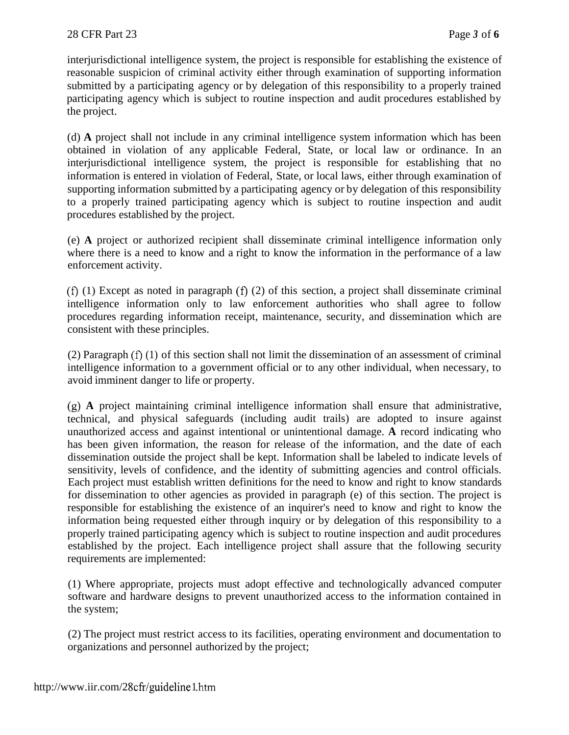interjurisdictional intelligence system, the project is responsible for establishing the existence of reasonable suspicion of criminal activity either through examination of supporting information submitted by a participating agency or by delegation of this responsibility to a properly trained participating agency which is subject to routine inspection and audit procedures established by the project.

(d) **A** project shall not include in any criminal intelligence system information which has been obtained in violation of any applicable Federal, State, or local law or ordinance. In an interjurisdictional intelligence system, the project is responsible for establishing that no information is entered in violation of Federal, State, or local laws, either through examination of supporting information submitted by a participating agency or by delegation of this responsibility to a properly trained participating agency which is subject to routine inspection and audit procedures established by the project.

(e) **A** project or authorized recipient shall disseminate criminal intelligence information only where there is a need to know and a right to know the information in the performance of a law enforcement activity.

**(f)** (1) Except as noted in paragraph **(f)** (2) of this section, a project shall disseminate criminal intelligence information only to law enforcement authorities who shall agree to follow procedures regarding information receipt, maintenance, security, and dissemination which are consistent with these principles.

(2) Paragraph **(f)** (1) of this section shall not limit the dissemination of an assessment of criminal intelligence information to a government official or to any other individual, when necessary, to avoid imminent danger to life or property.

(8) **A** project maintaining criminal intelligence information shall ensure that administrative, technical, and physical safeguards (including audit trails) are adopted to insure against unauthorized access and against intentional or unintentional damage. **A** record indicating who has been given information, the reason for release of the information, and the date of each dissemination outside the project shall be kept. Information shall be labeled to indicate levels of sensitivity, levels of confidence, and the identity of submitting agencies and control officials. Each project must establish written definitions for the need to know and right to know standards for dissemination to other agencies as provided in paragraph (e) of this section. The project is responsible for establishing the existence of an inquirer's need to know and right to know the information being requested either through inquiry or by delegation of this responsibility to a properly trained participating agency which is subject to routine inspection and audit procedures established by the project. Each intelligence project shall assure that the following security requirements are implemented:

(1) Where appropriate, projects must adopt effective and technologically advanced computer software and hardware designs to prevent unauthorized access to the information contained in the system;

(2) The project must restrict access to its facilities, operating environment and documentation to organizations and personnel authorized by the project;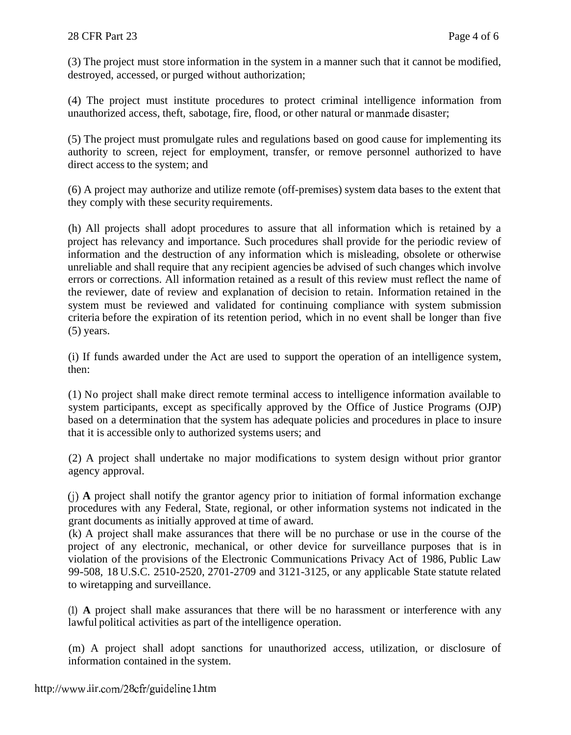(3) The project must store information in the system in a manner such that it cannot be modified, destroyed, accessed, or purged without authorization;

(4) The project must institute procedures to protect criminal intelligence information from unauthorized access, theft, sabotage, fire, flood, or other natural or manmade disaster;

(5) The project must promulgate rules and regulations based on good cause for implementing its authority to screen, reject for employment, transfer, or remove personnel authorized to have direct access to the system; and

(6) A project may authorize and utilize remote (off-premises) system data bases to the extent that they comply with these security requirements.

(h) All projects shall adopt procedures to assure that all information which is retained by a project has relevancy and importance. Such procedures shall provide for the periodic review of information and the destruction of any information which is misleading, obsolete or otherwise unreliable and shall require that any recipient agencies be advised of such changes which involve errors or corrections. All information retained as a result of this review must reflect the name of the reviewer, date of review and explanation of decision to retain. Information retained in the system must be reviewed and validated for continuing compliance with system submission criteria before the expiration of its retention period, which in no event shall be longer than five (5) years.

(i) If funds awarded under the Act are used to support the operation of an intelligence system, then:

(1) No project shall make direct remote terminal access to intelligence information available to system participants, except as specifically approved by the Office of Justice Programs (OJP) based on a determination that the system has adequate policies and procedures in place to insure that it is accessible only to authorized systems users; and

(2) A project shall undertake no major modifications to system design without prior grantor agency approval.

(j) **A** project shall notify the grantor agency prior to initiation of formal information exchange procedures with any Federal, State, regional, or other information systems not indicated in the grant documents as initially approved at time of award.

(k) A project shall make assurances that there will be no purchase or use in the course of the project of any electronic, mechanical, or other device for surveillance purposes that is in violation of the provisions of the Electronic Communications Privacy Act of 1986, Public Law 99-508, 18 U.S.C. 2510-2520, 2701-2709 and 3121-3125, or any applicable State statute related to wiretapping and surveillance.

(1) **A** project shall make assurances that there will be no harassment or interference with any lawful political activities as part of the intelligence operation.

(m) A project shall adopt sanctions for unauthorized access, utilization, or disclosure of information contained in the system.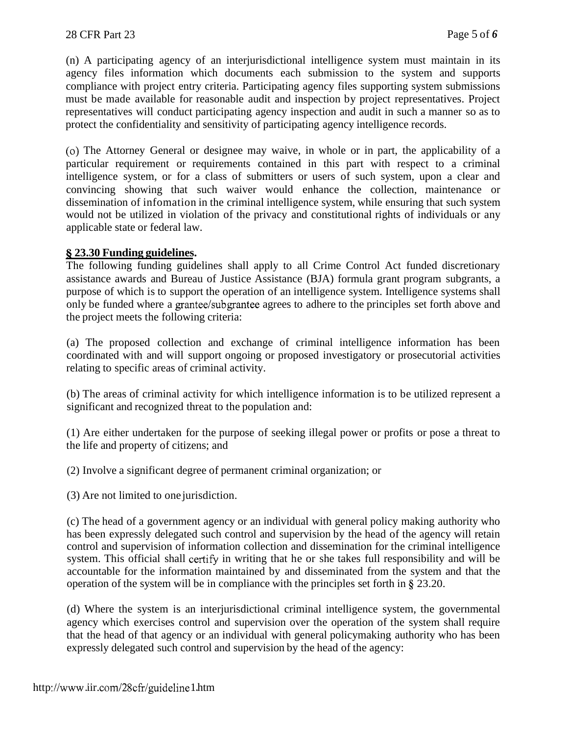(n) A participating agency of an interjurisdictional intelligence system must maintain in its agency files information which documents each submission to the system and supports compliance with project entry criteria. Participating agency files supporting system submissions must be made available for reasonable audit and inspection by project representatives. Project representatives will conduct participating agency inspection and audit in such a manner so as to protect the confidentiality and sensitivity of participating agency intelligence records.

*(0)* The Attorney General or designee may waive, in whole or in part, the applicability of a particular requirement or requirements contained in this part with respect to a criminal intelligence system, or for a class of submitters or users of such system, upon a clear and convincing showing that such waiver would enhance the collection, maintenance or dissemination of infomation in the criminal intelligence system, while ensuring that such system would not be utilized in violation of the privacy and constitutional rights of individuals or any applicable state or federal law.

## **23.30 Funding guidelines.**

The following funding guidelines shall apply to all Crime Control Act funded discretionary assistance awards and Bureau of Justice Assistance (BJA) formula grant program subgrants, a purpose of which is to support the operation of an intelligence system. Intelligence systems shall only be funded where a grantee/subgrantee agrees to adhere to the principles set forth above and the project meets the following criteria:

(a) The proposed collection and exchange of criminal intelligence information has been coordinated with and will support ongoing or proposed investigatory or prosecutorial activities relating to specific areas of criminal activity.

(b) The areas of criminal activity for which intelligence information is to be utilized represent a significant and recognized threat to the population and:

(1) Are either undertaken for the purpose of seeking illegal power or profits or pose a threat to the life and property of citizens; and

(2) Involve a significant degree of permanent criminal organization; or

(3) Are not limited to one jurisdiction.

(c) The head of a government agency or an individual with general policy making authority who has been expressly delegated such control and supervision by the head of the agency will retain control and supervision of information collection and dissemination for the criminal intelligence system. This official shall certify in writing that he or she takes full responsibility and will be accountable for the information maintained by and disseminated from the system and that the operation of the system will be in compliance with the principles set forth in  $\S$  23.20.

(d) Where the system is an interjurisdictional criminal intelligence system, the governmental agency which exercises control and supervision over the operation of the system shall require that the head of that agency or an individual with general policymaking authority who has been expressly delegated such control and supervision by the head of the agency: